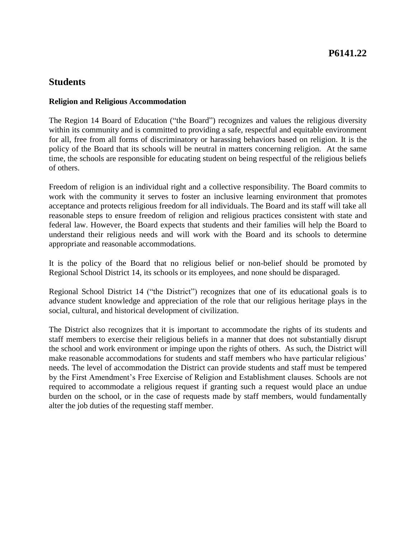#### **Religion and Religious Accommodation**

 within its community and is committed to providing a safe, respectful and equitable environment for all, free from all forms of discriminatory or harassing behaviors based on religion. It is the policy of the Board that its schools will be neutral in matters concerning religion. At the same time, the schools are responsible for educating student on being respectful of the religious beliefs The Region 14 Board of Education ("the Board") recognizes and values the religious diversity of others.

 Freedom of religion is an individual right and a collective responsibility. The Board commits to work with the community it serves to foster an inclusive learning environment that promotes acceptance and protects religious freedom for all individuals. The Board and its staff will take all understand their religious needs and will work with the Board and its schools to determine reasonable steps to ensure freedom of religion and religious practices consistent with state and federal law. However, the Board expects that students and their families will help the Board to appropriate and reasonable accommodations.

It is the policy of the Board that no religious belief or non-belief should be promoted by Regional School District 14, its schools or its employees, and none should be disparaged.

 Regional School District 14 ("the District") recognizes that one of its educational goals is to advance student knowledge and appreciation of the role that our religious heritage plays in the social, cultural, and historical development of civilization.

 The District also recognizes that it is important to accommodate the rights of its students and the school and work environment or impinge upon the rights of others. As such, the District will make reasonable accommodations for students and staff members who have particular religious' needs. The level of accommodation the District can provide students and staff must be tempered by the First Amendment's Free Exercise of Religion and Establishment clauses. Schools are not required to accommodate a religious request if granting such a request would place an undue burden on the school, or in the case of requests made by staff members, would fundamentally staff members to exercise their religious beliefs in a manner that does not substantially disrupt alter the job duties of the requesting staff member.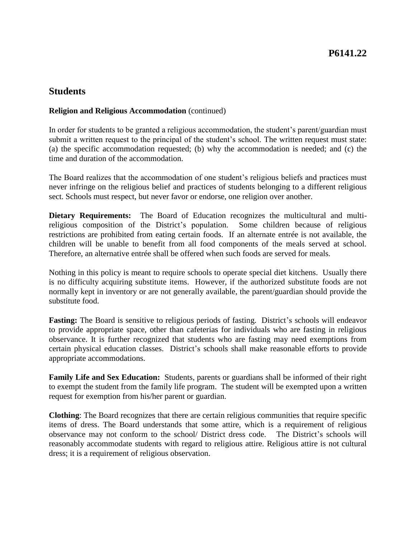#### **Religion and Religious Accommodation** (continued)

 submit a written request to the principal of the student's school. The written request must state: (a) the specific accommodation requested; (b) why the accommodation is needed; and (c) the In order for students to be granted a religious accommodation, the student's parent/guardian must time and duration of the accommodation.

 never infringe on the religious belief and practices of students belonging to a different religious The Board realizes that the accommodation of one student's religious beliefs and practices must sect. Schools must respect, but never favor or endorse, one religion over another.

Dietary Requirements: The Board of Education recognizes the multicultural and multi-Some children because of religious restrictions are prohibited from eating certain foods. If an alternate entrée is not available, the children will be unable to benefit from all food components of the meals served at school. religious composition of the District's population. Therefore, an alternative entrée shall be offered when such foods are served for meals.

 Nothing in this policy is meant to require schools to operate special diet kitchens. Usually there is no difficulty acquiring substitute items. However, if the authorized substitute foods are not normally kept in inventory or are not generally available, the parent/guardian should provide the substitute food.

 **Fasting:** The Board is sensitive to religious periods of fasting. District's schools will endeavor to provide appropriate space, other than cafeterias for individuals who are fasting in religious observance. It is further recognized that students who are fasting may need exemptions from certain physical education classes. District's schools shall make reasonable efforts to provide appropriate accommodations.

Family Life and Sex Education: Students, parents or guardians shall be informed of their right to exempt the student from the family life program. The student will be exempted upon a written request for exemption from his/her parent or guardian.

 **Clothing**: The Board recognizes that there are certain religious communities that require specific observance may not conform to the school/ District dress code. The District's schools will reasonably accommodate students with regard to religious attire. Religious attire is not cultural items of dress. The Board understands that some attire, which is a requirement of religious dress; it is a requirement of religious observation.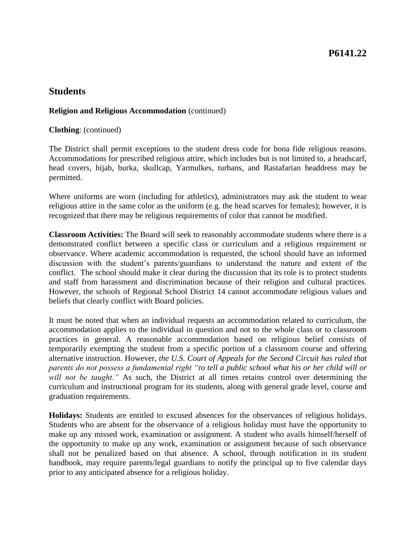#### **Religion and Religious Accommodation** (continued)

**Clothing**: (continued)

 The District shall permit exceptions to the student dress code for bona fide religious reasons. Accommodations for prescribed religious attire, which includes but is not limited to, a headscarf, head covers, hijab, burka, skullcap, Yarmulkes, turbans, and Rastafarian headdress may be permitted.

 Where uniforms are worn (including for athletics), administrators may ask the student to wear religious attire in the same color as the uniform (e.g. the head scarves for females); however, it is recognized that there may be religious requirements of color that cannot be modified.

 demonstrated conflict between a specific class or curriculum and a religious requirement or observance. Where academic accommodation is requested, the school should have an informed conflict. The school should make it clear during the discussion that its role is to protect students and staff from harassment and discrimination because of their religion and cultural practices. **Classroom Activities:** The Board will seek to reasonably accommodate students where there is a discussion with the student's parents/guardians to understand the nature and extent of the However, the schools of Regional School District 14 cannot accommodate religious values and beliefs that clearly conflict with Board policies.

 It must be noted that when an individual requests an accommodation related to curriculum, the practices in general. A reasonable accommodation based on religious belief consists of temporarily exempting the student from a specific portion of a classroom course and offering  alternative instruction. However, *the U.S. Court of Appeals for the Second Circuit has ruled that parents do not possess a fundamental right "to tell a public school what his or her child will or will not be taught."* As such, the District at all times retains control over determining the curriculum and instructional program for its students, along with general grade level, course and accommodation applies to the individual in question and not to the whole class or to classroom graduation requirements.

 **Holidays:** Students are entitled to excused absences for the observances of religious holidays. Students who are absent for the observance of a religious holiday must have the opportunity to make up any missed work, examination or assignment. A student who avails himself/herself of the opportunity to make up any work, examination or assignment because of such observance shall not be penalized based on that absence. A school, through notification in its student handbook, may require parents/legal guardians to notify the principal up to five calendar days prior to any anticipated absence for a religious holiday.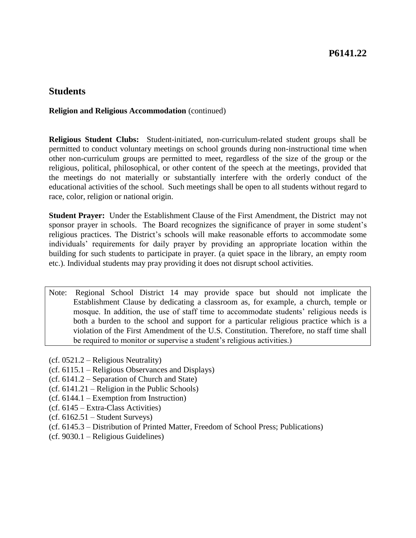#### **Religion and Religious Accommodation** (continued)

 **Religious Student Clubs:** Student-initiated, non-curriculum-related student groups shall be permitted to conduct voluntary meetings on school grounds during non-instructional time when other non-curriculum groups are permitted to meet, regardless of the size of the group or the the meetings do not materially or substantially interfere with the orderly conduct of the religious, political, philosophical, or other content of the speech at the meetings, provided that educational activities of the school. Such meetings shall be open to all students without regard to race, color, religion or national origin.

 **Student Prayer:** Under the Establishment Clause of the First Amendment, the District may not sponsor prayer in schools. The Board recognizes the significance of prayer in some student's religious practices. The District's schools will make reasonable efforts to accommodate some individuals' requirements for daily prayer by providing an appropriate location within the building for such students to participate in prayer. (a quiet space in the library, an empty room etc.). Individual students may pray providing it does not disrupt school activities.

- Note: Regional School District 14 may provide space but should not implicate the Establishment Clause by dedicating a classroom as, for example, a church, temple or mosque. In addition, the use of staff time to accommodate students' religious needs is both a burden to the school and support for a particular religious practice which is a violation of the First Amendment of the U.S. Constitution. Therefore, no staff time shall be required to monitor or supervise a student's religious activities.)
- (cf. 0521.2 Religious Neutrality)
- (cf. 6115.1 Religious Observances and Displays)
- (cf. 6141.2 Separation of Church and State)
- (cf. 6141.21 Religion in the Public Schools)
- (cf. 6144.1 Exemption from Instruction)
- (cf. 6145 Extra-Class Activities)
- $(cf. 6162.51 Student Surveys)$
- (cf. 6145.3 Distribution of Printed Matter, Freedom of School Press; Publications)
- (cf. 9030.1 Religious Guidelines)